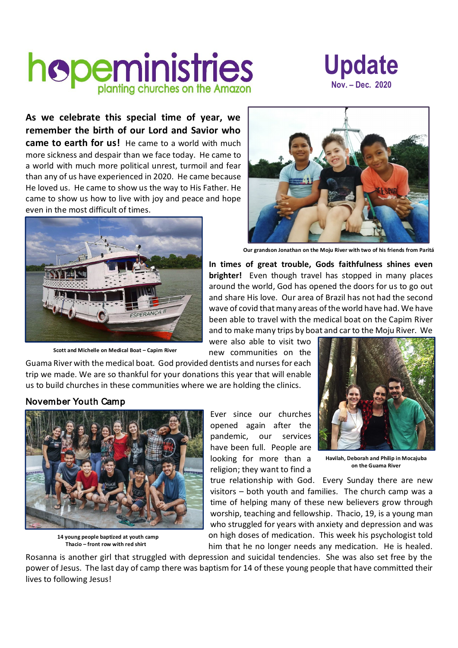## hopeministries



**As we celebrate this special time of year, we remember the birth of our Lord and Savior who** 

**came to earth for us!** He came to a world with much more sickness and despair than we face today. He came to a world with much more political unrest, turmoil and fear than any of us have experienced in 2020. He came because He loved us. He came to show us the way to His Father. He came to show us how to live with joy and peace and hope even in the most difficult of times.



**Scott and Michelle on Medical Boat – Capim River**

**Our grandson Jonathan on the Moju River with two of his friends from Paritá** 

**In times of great trouble, Gods faithfulness shines even brighter!** Even though travel has stopped in many places around the world, God has opened the doors for us to go out and share His love. Our area of Brazil has not had the second wave of covid that many areas of the world have had. We have been able to travel with the medical boat on the Capim River and to make many trips by boat and car to the Moju River. We

were also able to visit two new communities on the

Guama River with the medical boat. God provided dentists and nurses for each trip we made. We are so thankful for your donations this year that will enable us to build churches in these communities where we are holding the clinics.

## November Youth Camp



**14 young people baptized at youth camp Thacio – front row with red shirt**

Ever since our churches opened again after the pandemic, our services have been full. People are looking for more than a religion; they want to find a



**Havilah, Deborah and Philip in Mocajuba on the Guama River**

true relationship with God. Every Sunday there are new visitors – both youth and families. The church camp was a time of helping many of these new believers grow through worship, teaching and fellowship. Thacio, 19, is a young man who struggled for years with anxiety and depression and was on high doses of medication. This week his psychologist told him that he no longer needs any medication. He is healed.

Rosanna is another girl that struggled with depression and suicidal tendencies. She was also set free by the power of Jesus. The last day of camp there was baptism for 14 of these young people that have committed their lives to following Jesus!